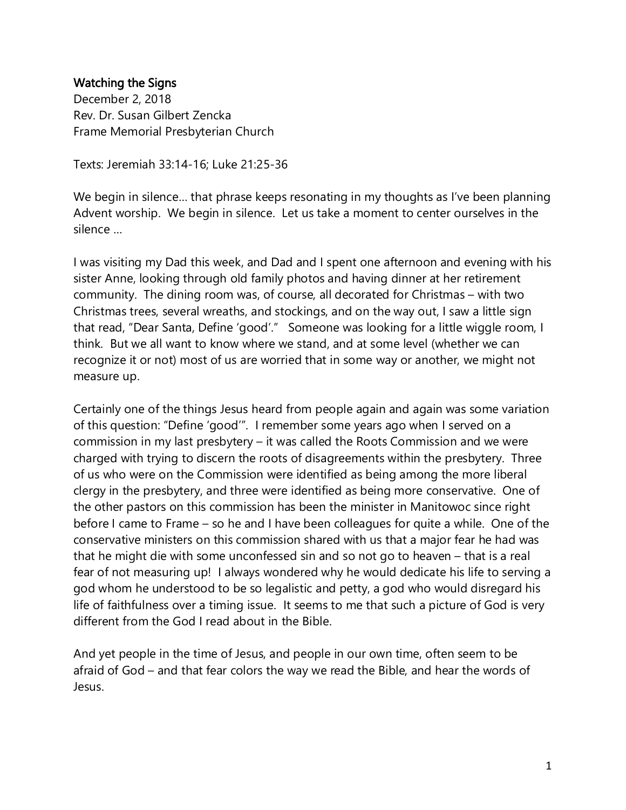## Watching the Signs

December 2, 2018 Rev. Dr. Susan Gilbert Zencka Frame Memorial Presbyterian Church

Texts: Jeremiah 33:14-16; Luke 21:25-36

We begin in silence… that phrase keeps resonating in my thoughts as I've been planning Advent worship. We begin in silence. Let us take a moment to center ourselves in the silence …

I was visiting my Dad this week, and Dad and I spent one afternoon and evening with his sister Anne, looking through old family photos and having dinner at her retirement community. The dining room was, of course, all decorated for Christmas – with two Christmas trees, several wreaths, and stockings, and on the way out, I saw a little sign that read, "Dear Santa, Define 'good'." Someone was looking for a little wiggle room, I think. But we all want to know where we stand, and at some level (whether we can recognize it or not) most of us are worried that in some way or another, we might not measure up.

Certainly one of the things Jesus heard from people again and again was some variation of this question: "Define 'good'". I remember some years ago when I served on a commission in my last presbytery – it was called the Roots Commission and we were charged with trying to discern the roots of disagreements within the presbytery. Three of us who were on the Commission were identified as being among the more liberal clergy in the presbytery, and three were identified as being more conservative. One of the other pastors on this commission has been the minister in Manitowoc since right before I came to Frame – so he and I have been colleagues for quite a while. One of the conservative ministers on this commission shared with us that a major fear he had was that he might die with some unconfessed sin and so not go to heaven – that is a real fear of not measuring up! I always wondered why he would dedicate his life to serving a god whom he understood to be so legalistic and petty, a god who would disregard his life of faithfulness over a timing issue. It seems to me that such a picture of God is very different from the God I read about in the Bible.

And yet people in the time of Jesus, and people in our own time, often seem to be afraid of God – and that fear colors the way we read the Bible, and hear the words of Jesus.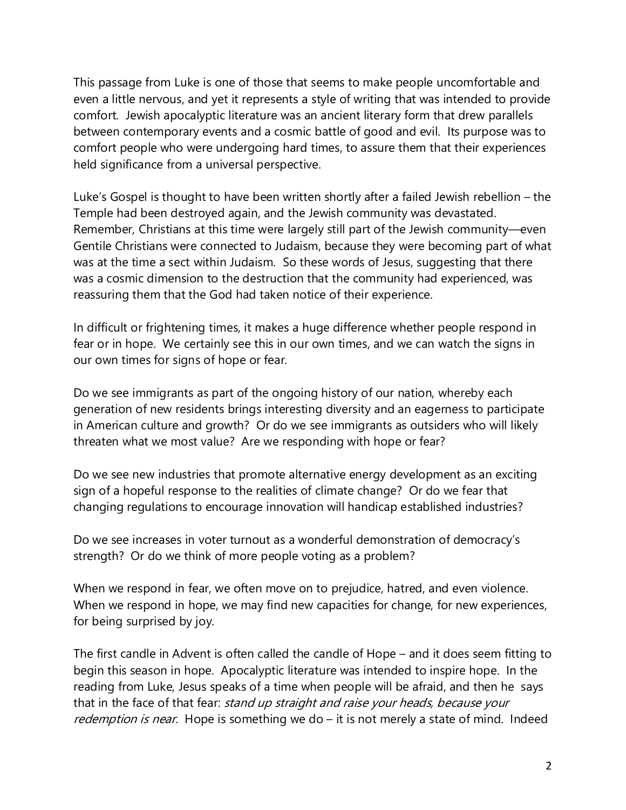This passage from Luke is one of those that seems to make people uncomfortable and even a little nervous, and yet it represents a style of writing that was intended to provide comfort. Jewish apocalyptic literature was an ancient literary form that drew parallels between contemporary events and a cosmic battle of good and evil. Its purpose was to comfort people who were undergoing hard times, to assure them that their experiences held significance from a universal perspective.

Luke's Gospel is thought to have been written shortly after a failed Jewish rebellion – the Temple had been destroyed again, and the Jewish community was devastated. Remember, Christians at this time were largely still part of the Jewish community—even Gentile Christians were connected to Judaism, because they were becoming part of what was at the time a sect within Judaism. So these words of Jesus, suggesting that there was a cosmic dimension to the destruction that the community had experienced, was reassuring them that the God had taken notice of their experience.

In difficult or frightening times, it makes a huge difference whether people respond in fear or in hope. We certainly see this in our own times, and we can watch the signs in our own times for signs of hope or fear.

Do we see immigrants as part of the ongoing history of our nation, whereby each generation of new residents brings interesting diversity and an eagerness to participate in American culture and growth? Or do we see immigrants as outsiders who will likely threaten what we most value? Are we responding with hope or fear?

Do we see new industries that promote alternative energy development as an exciting sign of a hopeful response to the realities of climate change? Or do we fear that changing regulations to encourage innovation will handicap established industries?

Do we see increases in voter turnout as a wonderful demonstration of democracy's strength? Or do we think of more people voting as a problem?

When we respond in fear, we often move on to prejudice, hatred, and even violence. When we respond in hope, we may find new capacities for change, for new experiences, for being surprised by joy.

The first candle in Advent is often called the candle of Hope – and it does seem fitting to begin this season in hope. Apocalyptic literature was intended to inspire hope. In the reading from Luke, Jesus speaks of a time when people will be afraid, and then he says that in the face of that fear: stand up straight and raise your heads, because your redemption is near. Hope is something we do – it is not merely a state of mind. Indeed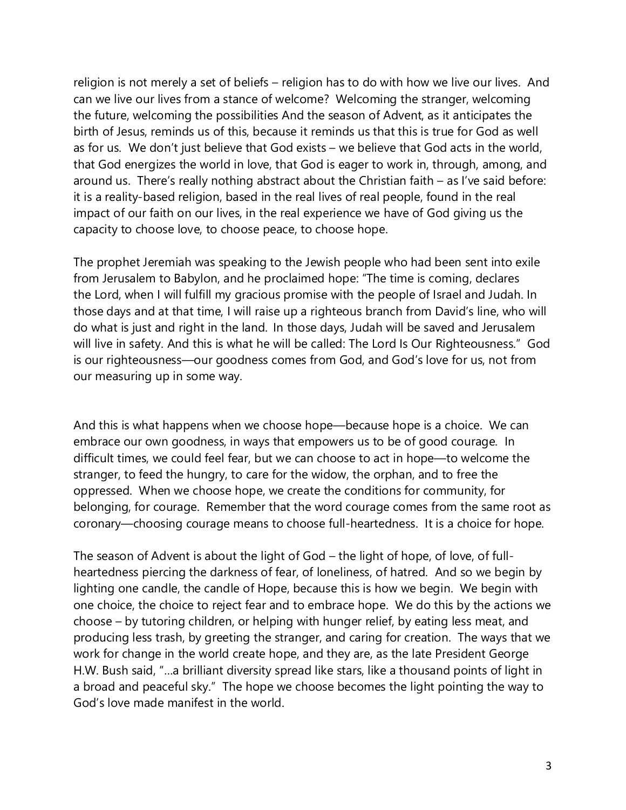religion is not merely a set of beliefs – religion has to do with how we live our lives. And can we live our lives from a stance of welcome? Welcoming the stranger, welcoming the future, welcoming the possibilities And the season of Advent, as it anticipates the birth of Jesus, reminds us of this, because it reminds us that this is true for God as well as for us. We don't just believe that God exists – we believe that God acts in the world, that God energizes the world in love, that God is eager to work in, through, among, and around us. There's really nothing abstract about the Christian faith – as I've said before: it is a reality-based religion, based in the real lives of real people, found in the real impact of our faith on our lives, in the real experience we have of God giving us the capacity to choose love, to choose peace, to choose hope.

The prophet Jeremiah was speaking to the Jewish people who had been sent into exile from Jerusalem to Babylon, and he proclaimed hope: "The time is coming, declares the Lord, when I will fulfill my gracious promise with the people of Israel and Judah. In those days and at that time, I will raise up a righteous branch from David's line, who will do what is just and right in the land. In those days, Judah will be saved and Jerusalem will live in safety. And this is what he will be called: The Lord Is Our Righteousness." God is our righteousness—our goodness comes from God, and God's love for us, not from our measuring up in some way.

And this is what happens when we choose hope—because hope is a choice. We can embrace our own goodness, in ways that empowers us to be of good courage. In difficult times, we could feel fear, but we can choose to act in hope—to welcome the stranger, to feed the hungry, to care for the widow, the orphan, and to free the oppressed. When we choose hope, we create the conditions for community, for belonging, for courage. Remember that the word courage comes from the same root as coronary—choosing courage means to choose full-heartedness. It is a choice for hope.

The season of Advent is about the light of God – the light of hope, of love, of fullheartedness piercing the darkness of fear, of loneliness, of hatred. And so we begin by lighting one candle, the candle of Hope, because this is how we begin. We begin with one choice, the choice to reject fear and to embrace hope. We do this by the actions we choose – by tutoring children, or helping with hunger relief, by eating less meat, and producing less trash, by greeting the stranger, and caring for creation. The ways that we work for change in the world create hope, and they are, as the late President George H.W. Bush said, "…a brilliant diversity spread like stars, like a thousand points of light in a broad and peaceful sky." The hope we choose becomes the light pointing the way to God's love made manifest in the world.